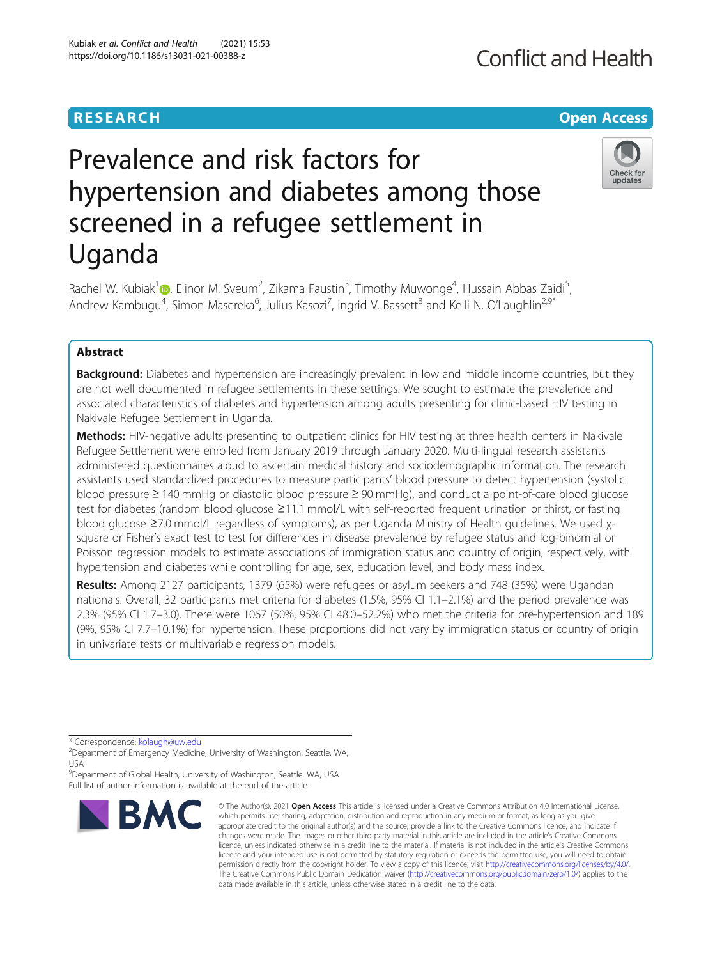## **RESEARCH CHE Open Access**

# Prevalence and risk factors for hypertension and diabetes among those screened in a refugee settlement in Uganda



Rachel W. Kubiak<sup>1</sup> (D., Elinor M. Sveum<sup>2</sup>, Zikama Faustin<sup>3</sup>, Timothy Muwonge<sup>4</sup>, Hussain Abbas Zaidi<sup>5</sup> , Andrew Kambugu<sup>4</sup>, Simon Masereka<sup>6</sup>, Julius Kasozi<sup>7</sup>, Ingrid V. Bassett<sup>8</sup> and Kelli N. O'Laughlin<sup>2,9\*</sup>

## Abstract

**Background:** Diabetes and hypertension are increasingly prevalent in low and middle income countries, but they are not well documented in refugee settlements in these settings. We sought to estimate the prevalence and associated characteristics of diabetes and hypertension among adults presenting for clinic-based HIV testing in Nakivale Refugee Settlement in Uganda.

Methods: HIV-negative adults presenting to outpatient clinics for HIV testing at three health centers in Nakivale Refugee Settlement were enrolled from January 2019 through January 2020. Multi-lingual research assistants administered questionnaires aloud to ascertain medical history and sociodemographic information. The research assistants used standardized procedures to measure participants' blood pressure to detect hypertension (systolic blood pressure ≥ 140 mmHg or diastolic blood pressure ≥ 90 mmHg), and conduct a point-of-care blood glucose test for diabetes (random blood glucose ≥11.1 mmol/L with self-reported frequent urination or thirst, or fasting blood glucose ≥7.0 mmol/L regardless of symptoms), as per Uganda Ministry of Health guidelines. We used χsquare or Fisher's exact test to test for differences in disease prevalence by refugee status and log-binomial or Poisson regression models to estimate associations of immigration status and country of origin, respectively, with hypertension and diabetes while controlling for age, sex, education level, and body mass index.

Results: Among 2127 participants, 1379 (65%) were refugees or asylum seekers and 748 (35%) were Ugandan nationals. Overall, 32 participants met criteria for diabetes (1.5%, 95% CI 1.1–2.1%) and the period prevalence was 2.3% (95% CI 1.7–3.0). There were 1067 (50%, 95% CI 48.0–52.2%) who met the criteria for pre-hypertension and 189 (9%, 95% CI 7.7–10.1%) for hypertension. These proportions did not vary by immigration status or country of origin in univariate tests or multivariable regression models.

<sup>9</sup>Department of Global Health, University of Washington, Seattle, WA, USA Full list of author information is available at the end of the article



<sup>©</sup> The Author(s), 2021 **Open Access** This article is licensed under a Creative Commons Attribution 4.0 International License, which permits use, sharing, adaptation, distribution and reproduction in any medium or format, as long as you give appropriate credit to the original author(s) and the source, provide a link to the Creative Commons licence, and indicate if changes were made. The images or other third party material in this article are included in the article's Creative Commons licence, unless indicated otherwise in a credit line to the material. If material is not included in the article's Creative Commons licence and your intended use is not permitted by statutory regulation or exceeds the permitted use, you will need to obtain permission directly from the copyright holder. To view a copy of this licence, visit [http://creativecommons.org/licenses/by/4.0/.](http://creativecommons.org/licenses/by/4.0/) The Creative Commons Public Domain Dedication waiver [\(http://creativecommons.org/publicdomain/zero/1.0/](http://creativecommons.org/publicdomain/zero/1.0/)) applies to the data made available in this article, unless otherwise stated in a credit line to the data.

<sup>\*</sup> Correspondence: [kolaugh@uw.edu](mailto:kolaugh@uw.edu)<br><sup>2</sup>Department of Emergency Medicine, University of Washington, Seattle, WA, USA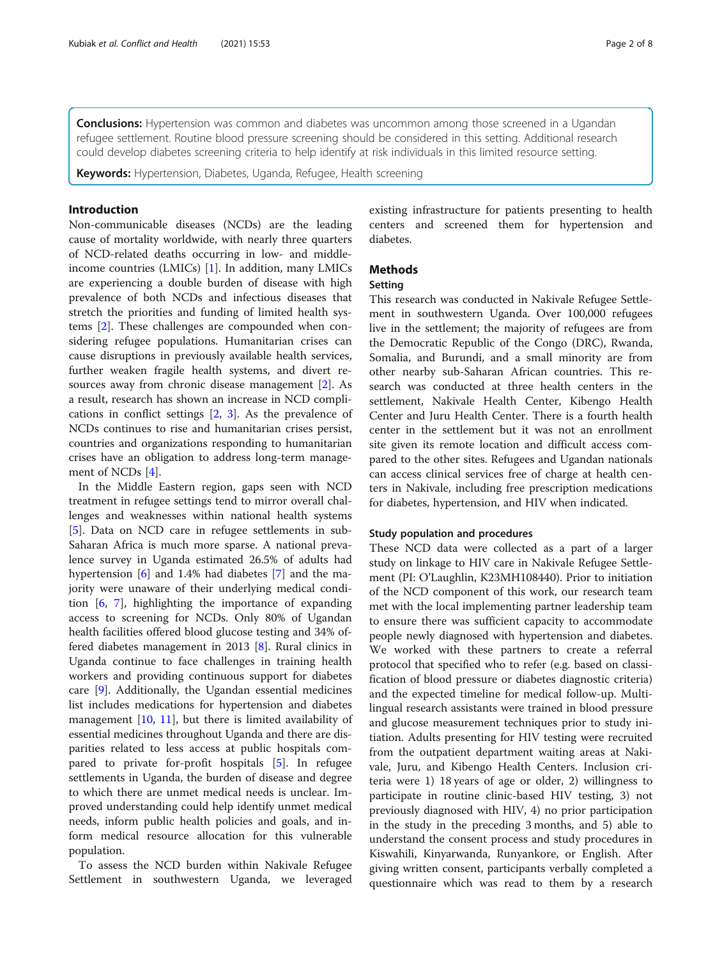**Conclusions:** Hypertension was common and diabetes was uncommon among those screened in a Ugandan refugee settlement. Routine blood pressure screening should be considered in this setting. Additional research could develop diabetes screening criteria to help identify at risk individuals in this limited resource setting.

Keywords: Hypertension, Diabetes, Uganda, Refugee, Health screening

## Introduction

Non-communicable diseases (NCDs) are the leading cause of mortality worldwide, with nearly three quarters of NCD-related deaths occurring in low- and middleincome countries (LMICs) [\[1](#page-7-0)]. In addition, many LMICs are experiencing a double burden of disease with high prevalence of both NCDs and infectious diseases that stretch the priorities and funding of limited health systems [\[2](#page-7-0)]. These challenges are compounded when considering refugee populations. Humanitarian crises can cause disruptions in previously available health services, further weaken fragile health systems, and divert resources away from chronic disease management [[2\]](#page-7-0). As a result, research has shown an increase in NCD complications in conflict settings [[2,](#page-7-0) [3](#page-7-0)]. As the prevalence of NCDs continues to rise and humanitarian crises persist, countries and organizations responding to humanitarian crises have an obligation to address long-term management of NCDs [[4\]](#page-7-0).

In the Middle Eastern region, gaps seen with NCD treatment in refugee settings tend to mirror overall challenges and weaknesses within national health systems [[5\]](#page-7-0). Data on NCD care in refugee settlements in sub-Saharan Africa is much more sparse. A national prevalence survey in Uganda estimated 26.5% of adults had hypertension [\[6](#page-7-0)] and 1.4% had diabetes [[7](#page-7-0)] and the majority were unaware of their underlying medical condition [[6,](#page-7-0) [7](#page-7-0)], highlighting the importance of expanding access to screening for NCDs. Only 80% of Ugandan health facilities offered blood glucose testing and 34% offered diabetes management in 2013 [\[8\]](#page-7-0). Rural clinics in Uganda continue to face challenges in training health workers and providing continuous support for diabetes care [\[9](#page-7-0)]. Additionally, the Ugandan essential medicines list includes medications for hypertension and diabetes management [\[10](#page-7-0), [11\]](#page-7-0), but there is limited availability of essential medicines throughout Uganda and there are disparities related to less access at public hospitals compared to private for-profit hospitals [[5\]](#page-7-0). In refugee settlements in Uganda, the burden of disease and degree to which there are unmet medical needs is unclear. Improved understanding could help identify unmet medical needs, inform public health policies and goals, and inform medical resource allocation for this vulnerable population.

To assess the NCD burden within Nakivale Refugee Settlement in southwestern Uganda, we leveraged existing infrastructure for patients presenting to health centers and screened them for hypertension and diabetes.

## **Methods**

## Setting

This research was conducted in Nakivale Refugee Settlement in southwestern Uganda. Over 100,000 refugees live in the settlement; the majority of refugees are from the Democratic Republic of the Congo (DRC), Rwanda, Somalia, and Burundi, and a small minority are from other nearby sub-Saharan African countries. This research was conducted at three health centers in the settlement, Nakivale Health Center, Kibengo Health Center and Juru Health Center. There is a fourth health center in the settlement but it was not an enrollment site given its remote location and difficult access compared to the other sites. Refugees and Ugandan nationals can access clinical services free of charge at health centers in Nakivale, including free prescription medications for diabetes, hypertension, and HIV when indicated.

## Study population and procedures

These NCD data were collected as a part of a larger study on linkage to HIV care in Nakivale Refugee Settlement (PI: O'Laughlin, K23MH108440). Prior to initiation of the NCD component of this work, our research team met with the local implementing partner leadership team to ensure there was sufficient capacity to accommodate people newly diagnosed with hypertension and diabetes. We worked with these partners to create a referral protocol that specified who to refer (e.g. based on classification of blood pressure or diabetes diagnostic criteria) and the expected timeline for medical follow-up. Multilingual research assistants were trained in blood pressure and glucose measurement techniques prior to study initiation. Adults presenting for HIV testing were recruited from the outpatient department waiting areas at Nakivale, Juru, and Kibengo Health Centers. Inclusion criteria were 1) 18 years of age or older, 2) willingness to participate in routine clinic-based HIV testing, 3) not previously diagnosed with HIV, 4) no prior participation in the study in the preceding 3 months, and 5) able to understand the consent process and study procedures in Kiswahili, Kinyarwanda, Runyankore, or English. After giving written consent, participants verbally completed a questionnaire which was read to them by a research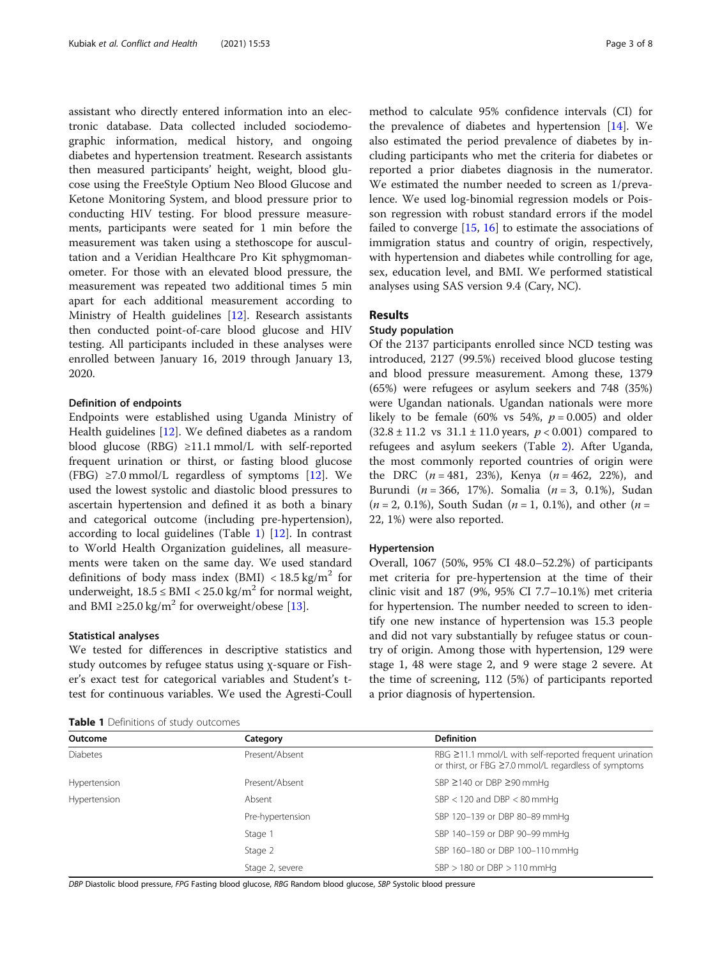assistant who directly entered information into an electronic database. Data collected included sociodemographic information, medical history, and ongoing diabetes and hypertension treatment. Research assistants then measured participants' height, weight, blood glucose using the FreeStyle Optium Neo Blood Glucose and Ketone Monitoring System, and blood pressure prior to conducting HIV testing. For blood pressure measurements, participants were seated for 1 min before the measurement was taken using a stethoscope for auscultation and a Veridian Healthcare Pro Kit sphygmomanometer. For those with an elevated blood pressure, the measurement was repeated two additional times 5 min apart for each additional measurement according to Ministry of Health guidelines [[12\]](#page-7-0). Research assistants then conducted point-of-care blood glucose and HIV testing. All participants included in these analyses were enrolled between January 16, 2019 through January 13, 2020.

## Definition of endpoints

Endpoints were established using Uganda Ministry of Health guidelines [\[12](#page-7-0)]. We defined diabetes as a random blood glucose (RBG) ≥11.1 mmol/L with self-reported frequent urination or thirst, or fasting blood glucose (FBG)  $\geq$ 7.0 mmol/L regardless of symptoms [\[12](#page-7-0)]. We used the lowest systolic and diastolic blood pressures to ascertain hypertension and defined it as both a binary and categorical outcome (including pre-hypertension), according to local guidelines (Table 1) [[12\]](#page-7-0). In contrast to World Health Organization guidelines, all measurements were taken on the same day. We used standard definitions of body mass index (BMI)  $\langle 18.5 \text{ kg/m}^2 \rangle$  for underweight,  $18.5 \leq BMI < 25.0 \text{ kg/m}^2$  for normal weight, and BMI ≥25.0 kg/m<sup>2</sup> for overweight/obese [[13\]](#page-7-0).

## Statistical analyses

We tested for differences in descriptive statistics and study outcomes by refugee status using χ-square or Fisher's exact test for categorical variables and Student's ttest for continuous variables. We used the Agresti-Coull

Table 1 Definitions of study outcomes

method to calculate 95% confidence intervals (CI) for the prevalence of diabetes and hypertension [[14\]](#page-7-0). We also estimated the period prevalence of diabetes by including participants who met the criteria for diabetes or reported a prior diabetes diagnosis in the numerator. We estimated the number needed to screen as 1/prevalence. We used log-binomial regression models or Poisson regression with robust standard errors if the model failed to converge [[15,](#page-7-0) [16\]](#page-7-0) to estimate the associations of immigration status and country of origin, respectively, with hypertension and diabetes while controlling for age, sex, education level, and BMI. We performed statistical analyses using SAS version 9.4 (Cary, NC).

## Results

## Study population

Of the 2137 participants enrolled since NCD testing was introduced, 2127 (99.5%) received blood glucose testing and blood pressure measurement. Among these, 1379 (65%) were refugees or asylum seekers and 748 (35%) were Ugandan nationals. Ugandan nationals were more likely to be female (60% vs 54%,  $p = 0.005$ ) and older  $(32.8 \pm 11.2 \text{ vs } 31.1 \pm 11.0 \text{ years}, p < 0.001)$  compared to refugees and asylum seekers (Table [2](#page-3-0)). After Uganda, the most commonly reported countries of origin were the DRC  $(n = 481, 23%)$ , Kenya  $(n = 462, 22%)$ , and Burundi ( $n = 366$ , 17%). Somalia ( $n = 3$ , 0.1%), Sudan  $(n = 2, 0.1\%)$ , South Sudan  $(n = 1, 0.1\%)$ , and other  $(n = 1, 0.1\%)$ 22, 1%) were also reported.

## Hypertension

Overall, 1067 (50%, 95% CI 48.0–52.2%) of participants met criteria for pre-hypertension at the time of their clinic visit and 187 (9%, 95% CI 7.7–10.1%) met criteria for hypertension. The number needed to screen to identify one new instance of hypertension was 15.3 people and did not vary substantially by refugee status or country of origin. Among those with hypertension, 129 were stage 1, 48 were stage 2, and 9 were stage 2 severe. At the time of screening, 112 (5%) of participants reported a prior diagnosis of hypertension.

| <b>NUMBER I</b> DEMINISING OF STRUCK ORIGINAL |                  |                                                                                                                      |
|-----------------------------------------------|------------------|----------------------------------------------------------------------------------------------------------------------|
| Outcome                                       | Category         | <b>Definition</b>                                                                                                    |
| <b>Diabetes</b>                               | Present/Absent   | $RBG \geq 11.1$ mmol/L with self-reported frequent urination<br>or thirst, or FBG ≥7.0 mmol/L regardless of symptoms |
| Hypertension                                  | Present/Absent   | SBP ≥140 or DBP ≥90 mmHg                                                                                             |
| Hypertension                                  | Absent           | SBP $<$ 120 and DBP $<$ 80 mmHq                                                                                      |
|                                               | Pre-hypertension | SBP 120-139 or DBP 80-89 mmHq                                                                                        |
|                                               | Stage 1          | SBP 140-159 or DBP 90-99 mmHg                                                                                        |
|                                               | Stage 2          | SBP 160-180 or DBP 100-110 mmHg                                                                                      |
|                                               | Stage 2, severe  | $SBP > 180$ or $DBP > 110$ mmHq                                                                                      |

DBP Diastolic blood pressure, FPG Fasting blood glucose, RBG Random blood glucose, SBP Systolic blood pressure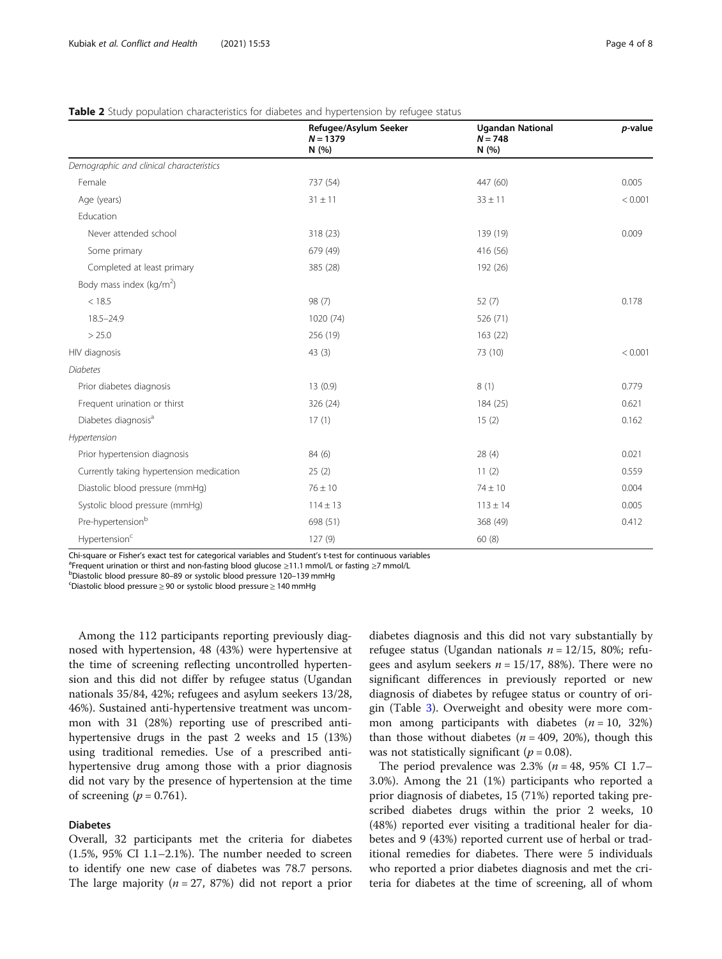|                                          | Refugee/Asylum Seeker<br>$N = 1379$ | <b>Ugandan National</b><br>$N = 748$ | p-value |
|------------------------------------------|-------------------------------------|--------------------------------------|---------|
|                                          | N (%)                               | N(%)                                 |         |
| Demographic and clinical characteristics |                                     |                                      |         |
| Female                                   | 737 (54)                            | 447 (60)                             | 0.005   |
| Age (years)                              | $31 \pm 11$                         | $33 \pm 11$                          | < 0.001 |
| Education                                |                                     |                                      |         |
| Never attended school                    | 318 (23)                            | 139 (19)                             | 0.009   |
| Some primary                             | 679 (49)                            | 416 (56)                             |         |
| Completed at least primary               | 385 (28)                            | 192 (26)                             |         |
| Body mass index ( $kg/m2$ )              |                                     |                                      |         |
| < 18.5                                   | 98 (7)                              | 52(7)                                | 0.178   |
| $18.5 - 24.9$                            | 1020 (74)                           | 526 (71)                             |         |
| > 25.0                                   | 256 (19)                            | 163(22)                              |         |
| HIV diagnosis                            | 43(3)                               | 73 (10)                              | < 0.001 |
| <b>Diabetes</b>                          |                                     |                                      |         |
| Prior diabetes diagnosis                 | 13(0.9)                             | 8(1)                                 | 0.779   |
| Frequent urination or thirst             | 326 (24)                            | 184 (25)                             | 0.621   |
| Diabetes diagnosis <sup>a</sup>          | 17(1)                               | 15(2)                                | 0.162   |
| Hypertension                             |                                     |                                      |         |
| Prior hypertension diagnosis             | 84 (6)                              | 28(4)                                | 0.021   |
| Currently taking hypertension medication | 25(2)                               | 11(2)                                | 0.559   |
| Diastolic blood pressure (mmHg)          | $76 \pm 10$                         | $74 \pm 10$                          | 0.004   |
| Systolic blood pressure (mmHg)           | $114 \pm 13$                        | $113 \pm 14$                         | 0.005   |
| Pre-hypertension <sup>b</sup>            | 698 (51)                            | 368 (49)                             | 0.412   |
| Hypertension <sup>c</sup>                | 127(9)                              | 60(8)                                |         |

## <span id="page-3-0"></span>Table 2 Study population characteristics for diabetes and hypertension by refugee status

Chi-square or Fisher's exact test for categorical variables and Student's t-test for continuous variables <sup>a</sup>

Frequent urination or thirst and non-fasting blood glucose <sup>≥</sup>11.1 mmol/L or fasting <sup>≥</sup>7 mmol/L <sup>b</sup>

bDiastolic blood pressure 80-89 or systolic blood pressure 120-139 mmHg

Diastolic blood pressure ≥ 90 or systolic blood pressure ≥ 140 mmHg

Among the 112 participants reporting previously diagnosed with hypertension, 48 (43%) were hypertensive at the time of screening reflecting uncontrolled hypertension and this did not differ by refugee status (Ugandan nationals 35/84, 42%; refugees and asylum seekers 13/28, 46%). Sustained anti-hypertensive treatment was uncommon with 31 (28%) reporting use of prescribed antihypertensive drugs in the past 2 weeks and 15 (13%) using traditional remedies. Use of a prescribed antihypertensive drug among those with a prior diagnosis did not vary by the presence of hypertension at the time of screening ( $p = 0.761$ ).

## Diabetes

Overall, 32 participants met the criteria for diabetes  $(1.5\%$ , 95% CI 1.1–2.1%). The number needed to screen to identify one new case of diabetes was 78.7 persons. The large majority ( $n = 27, 87\%)$  did not report a prior diabetes diagnosis and this did not vary substantially by refugee status (Ugandan nationals  $n = 12/15$ , 80%; refugees and asylum seekers  $n = 15/17$ , 88%). There were no significant differences in previously reported or new diagnosis of diabetes by refugee status or country of origin (Table [3](#page-4-0)). Overweight and obesity were more common among participants with diabetes  $(n = 10, 32\%)$ than those without diabetes ( $n = 409, 20\%$ ), though this was not statistically significant ( $p = 0.08$ ).

The period prevalence was 2.3% ( $n = 48$ , 95% CI 1.7– 3.0%). Among the 21 (1%) participants who reported a prior diagnosis of diabetes, 15 (71%) reported taking prescribed diabetes drugs within the prior 2 weeks, 10 (48%) reported ever visiting a traditional healer for diabetes and 9 (43%) reported current use of herbal or traditional remedies for diabetes. There were 5 individuals who reported a prior diabetes diagnosis and met the criteria for diabetes at the time of screening, all of whom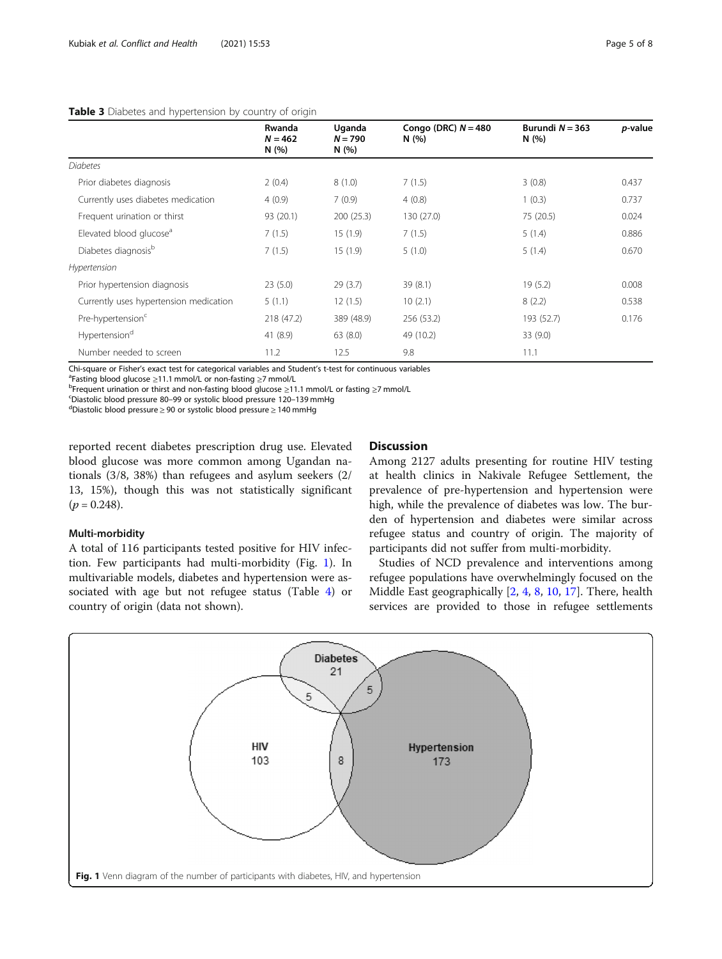## <span id="page-4-0"></span>Table 3 Diabetes and hypertension by country of origin

|                                        | Rwanda<br>$N = 462$<br>N(%) | Uganda<br>$N = 790$<br>N(%) | Congo (DRC) $N = 480$<br>N(%) | Burundi $N = 363$<br>N(%) | p-value |
|----------------------------------------|-----------------------------|-----------------------------|-------------------------------|---------------------------|---------|
| <b>Diabetes</b>                        |                             |                             |                               |                           |         |
| Prior diabetes diagnosis               | 2(0.4)                      | 8(1.0)                      | 7(1.5)                        | 3(0.8)                    | 0.437   |
| Currently uses diabetes medication     | 4(0.9)                      | 7(0.9)                      | 4(0.8)                        | 1(0.3)                    | 0.737   |
| Frequent urination or thirst           | 93 (20.1)                   | 200(25.3)                   | 130 (27.0)                    | 75 (20.5)                 | 0.024   |
| Elevated blood glucose <sup>a</sup>    | 7(1.5)                      | 15(1.9)                     | 7(1.5)                        | 5(1.4)                    | 0.886   |
| Diabetes diagnosis <sup>b</sup>        | 7(1.5)                      | 15(1.9)                     | 5(1.0)                        | 5(1.4)                    | 0.670   |
| Hypertension                           |                             |                             |                               |                           |         |
| Prior hypertension diagnosis           | 23(5.0)                     | 29(3.7)                     | 39(8.1)                       | 19(5.2)                   | 0.008   |
| Currently uses hypertension medication | 5(1.1)                      | 12(1.5)                     | 10(2.1)                       | 8(2.2)                    | 0.538   |
| Pre-hypertension <sup>c</sup>          | 218 (47.2)                  | 389 (48.9)                  | 256 (53.2)                    | 193 (52.7)                | 0.176   |
| Hypertension <sup>d</sup>              | 41 (8.9)                    | 63(8.0)                     | 49 (10.2)                     | 33(9.0)                   |         |
| Number needed to screen                | 11.2                        | 12.5                        | 9.8                           | 11.1                      |         |

Chi-square or Fisher's exact test for categorical variables and Student's t-test for continuous variables <sup>a</sup>

<sup>a</sup>Fasting blood glucose ≥11.1 mmol/L or non-fasting ≥7 mmol/L

bFrequent urination or thirst and non-fasting blood glucose ≥11.1 mmol/L or fasting ≥7 mmol/L

Diastolic blood pressure 80–99 or systolic blood pressure 120–139 mmHg <sup>d</sup>

Diastolic blood pressure ≥ 90 or systolic blood pressure ≥ 140 mmHg

reported recent diabetes prescription drug use. Elevated blood glucose was more common among Ugandan nationals (3/8, 38%) than refugees and asylum seekers (2/ 13, 15%), though this was not statistically significant  $(p = 0.248)$ .

## Multi-morbidity

A total of 116 participants tested positive for HIV infection. Few participants had multi-morbidity (Fig. 1). In multivariable models, diabetes and hypertension were associated with age but not refugee status (Table [4](#page-5-0)) or country of origin (data not shown).

## Discussion

Among 2127 adults presenting for routine HIV testing at health clinics in Nakivale Refugee Settlement, the prevalence of pre-hypertension and hypertension were high, while the prevalence of diabetes was low. The burden of hypertension and diabetes were similar across refugee status and country of origin. The majority of participants did not suffer from multi-morbidity.

Studies of NCD prevalence and interventions among refugee populations have overwhelmingly focused on the Middle East geographically [[2,](#page-7-0) [4,](#page-7-0) [8,](#page-7-0) [10,](#page-7-0) [17\]](#page-7-0). There, health services are provided to those in refugee settlements

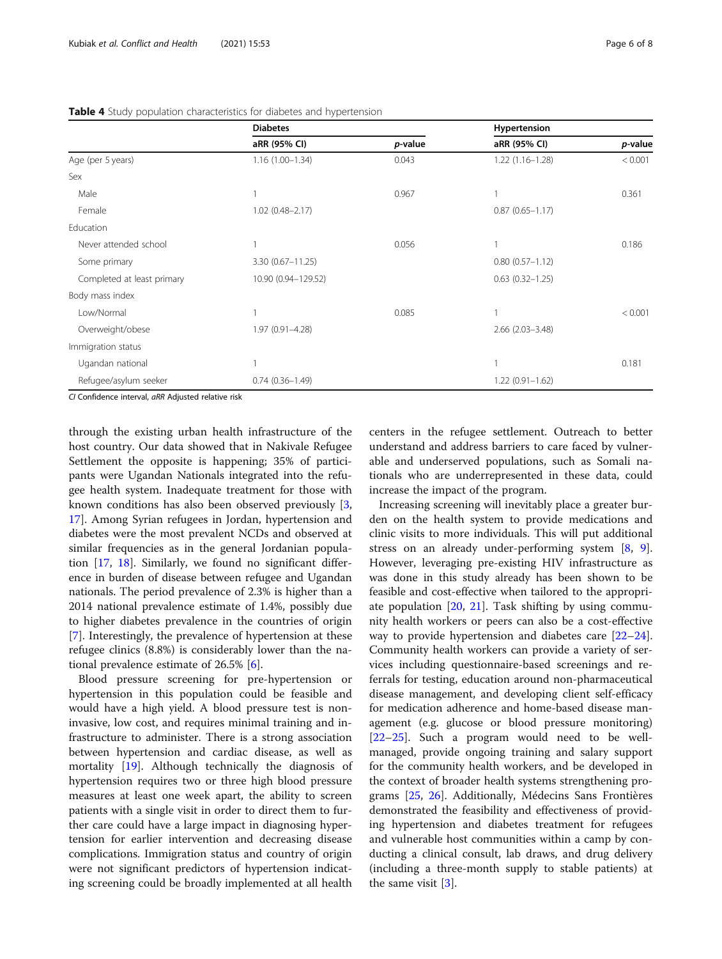<span id="page-5-0"></span>

| Table 4 Study population characteristics for diabetes and hypertension |              |  |
|------------------------------------------------------------------------|--------------|--|
| <b>Diabetes</b>                                                        | Hypertension |  |

|                            | <b>Diabetes</b>     |         | Hypertension           |         |
|----------------------------|---------------------|---------|------------------------|---------|
|                            | aRR (95% CI)        | p-value | aRR (95% CI)           | p-value |
| Age (per 5 years)          | $1.16(1.00-1.34)$   | 0.043   | $1.22(1.16 - 1.28)$    | < 0.001 |
| Sex                        |                     |         |                        |         |
| Male                       |                     | 0.967   |                        | 0.361   |
| Female                     | $1.02$ (0.48-2.17)  |         | $0.87(0.65 - 1.17)$    |         |
| Education                  |                     |         |                        |         |
| Never attended school      |                     | 0.056   |                        | 0.186   |
| Some primary               | 3.30 (0.67-11.25)   |         | $0.80(0.57 - 1.12)$    |         |
| Completed at least primary | 10.90 (0.94-129.52) |         | $0.63$ $(0.32 - 1.25)$ |         |
| Body mass index            |                     |         |                        |         |
| Low/Normal                 |                     | 0.085   |                        | < 0.001 |
| Overweight/obese           | 1.97 (0.91-4.28)    |         | $2.66$ $(2.03 - 3.48)$ |         |
| Immigration status         |                     |         |                        |         |
| Ugandan national           |                     |         |                        | 0.181   |
| Refugee/asylum seeker      | $0.74(0.36 - 1.49)$ |         | $1.22(0.91 - 1.62)$    |         |

CI Confidence interval, aRR Adjusted relative risk

through the existing urban health infrastructure of the host country. Our data showed that in Nakivale Refugee Settlement the opposite is happening; 35% of participants were Ugandan Nationals integrated into the refugee health system. Inadequate treatment for those with known conditions has also been observed previously [\[3](#page-7-0), [17\]](#page-7-0). Among Syrian refugees in Jordan, hypertension and diabetes were the most prevalent NCDs and observed at similar frequencies as in the general Jordanian population [[17,](#page-7-0) [18](#page-7-0)]. Similarly, we found no significant difference in burden of disease between refugee and Ugandan nationals. The period prevalence of 2.3% is higher than a 2014 national prevalence estimate of 1.4%, possibly due to higher diabetes prevalence in the countries of origin [[7\]](#page-7-0). Interestingly, the prevalence of hypertension at these refugee clinics (8.8%) is considerably lower than the national prevalence estimate of 26.5% [[6\]](#page-7-0).

Blood pressure screening for pre-hypertension or hypertension in this population could be feasible and would have a high yield. A blood pressure test is noninvasive, low cost, and requires minimal training and infrastructure to administer. There is a strong association between hypertension and cardiac disease, as well as mortality [\[19](#page-7-0)]. Although technically the diagnosis of hypertension requires two or three high blood pressure measures at least one week apart, the ability to screen patients with a single visit in order to direct them to further care could have a large impact in diagnosing hypertension for earlier intervention and decreasing disease complications. Immigration status and country of origin were not significant predictors of hypertension indicating screening could be broadly implemented at all health centers in the refugee settlement. Outreach to better understand and address barriers to care faced by vulnerable and underserved populations, such as Somali nationals who are underrepresented in these data, could increase the impact of the program.

Increasing screening will inevitably place a greater burden on the health system to provide medications and clinic visits to more individuals. This will put additional stress on an already under-performing system [[8](#page-7-0), [9](#page-7-0)]. However, leveraging pre-existing HIV infrastructure as was done in this study already has been shown to be feasible and cost-effective when tailored to the appropriate population [[20,](#page-7-0) [21\]](#page-7-0). Task shifting by using community health workers or peers can also be a cost-effective way to provide hypertension and diabetes care [[22](#page-7-0)–[24](#page-7-0)]. Community health workers can provide a variety of services including questionnaire-based screenings and referrals for testing, education around non-pharmaceutical disease management, and developing client self-efficacy for medication adherence and home-based disease management (e.g. glucose or blood pressure monitoring) [[22](#page-7-0)–[25](#page-7-0)]. Such a program would need to be wellmanaged, provide ongoing training and salary support for the community health workers, and be developed in the context of broader health systems strengthening programs [\[25](#page-7-0), [26\]](#page-7-0). Additionally, Médecins Sans Frontières demonstrated the feasibility and effectiveness of providing hypertension and diabetes treatment for refugees and vulnerable host communities within a camp by conducting a clinical consult, lab draws, and drug delivery (including a three-month supply to stable patients) at the same visit [[3\]](#page-7-0).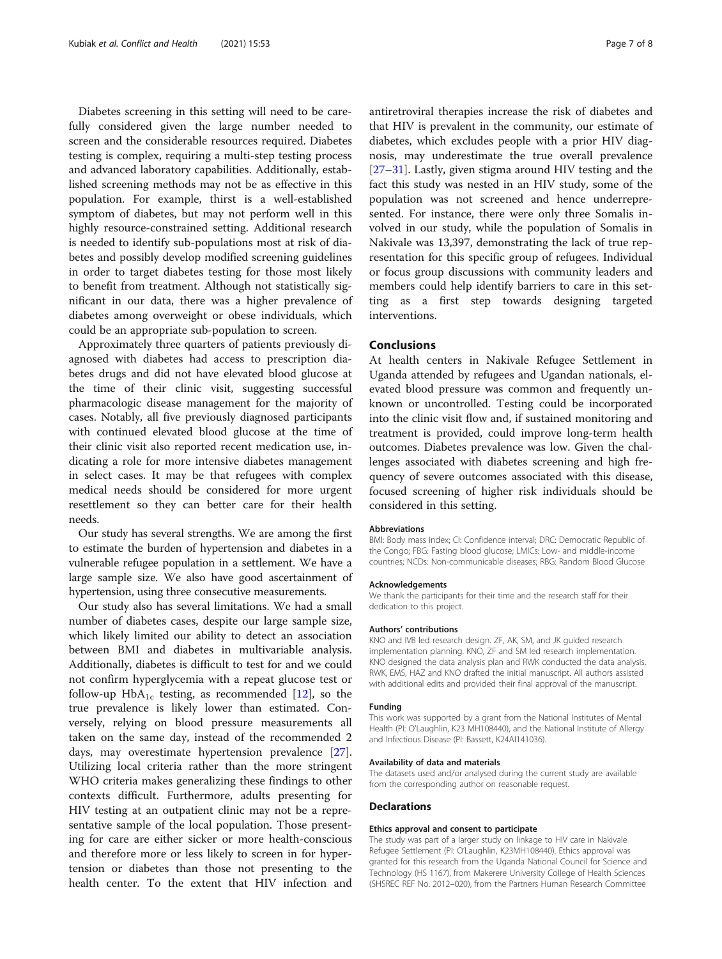Diabetes screening in this setting will need to be carefully considered given the large number needed to screen and the considerable resources required. Diabetes testing is complex, requiring a multi-step testing process and advanced laboratory capabilities. Additionally, established screening methods may not be as effective in this population. For example, thirst is a well-established symptom of diabetes, but may not perform well in this highly resource-constrained setting. Additional research is needed to identify sub-populations most at risk of diabetes and possibly develop modified screening guidelines in order to target diabetes testing for those most likely to benefit from treatment. Although not statistically significant in our data, there was a higher prevalence of diabetes among overweight or obese individuals, which could be an appropriate sub-population to screen.

Approximately three quarters of patients previously diagnosed with diabetes had access to prescription diabetes drugs and did not have elevated blood glucose at the time of their clinic visit, suggesting successful pharmacologic disease management for the majority of cases. Notably, all five previously diagnosed participants with continued elevated blood glucose at the time of their clinic visit also reported recent medication use, indicating a role for more intensive diabetes management in select cases. It may be that refugees with complex medical needs should be considered for more urgent resettlement so they can better care for their health needs.

Our study has several strengths. We are among the first to estimate the burden of hypertension and diabetes in a vulnerable refugee population in a settlement. We have a large sample size. We also have good ascertainment of hypertension, using three consecutive measurements.

Our study also has several limitations. We had a small number of diabetes cases, despite our large sample size, which likely limited our ability to detect an association between BMI and diabetes in multivariable analysis. Additionally, diabetes is difficult to test for and we could not confirm hyperglycemia with a repeat glucose test or follow-up  $HbA_{1c}$  testing, as recommended [[12](#page-7-0)], so the true prevalence is likely lower than estimated. Conversely, relying on blood pressure measurements all taken on the same day, instead of the recommended 2 days, may overestimate hypertension prevalence [\[27](#page-7-0)]. Utilizing local criteria rather than the more stringent WHO criteria makes generalizing these findings to other contexts difficult. Furthermore, adults presenting for HIV testing at an outpatient clinic may not be a representative sample of the local population. Those presenting for care are either sicker or more health-conscious and therefore more or less likely to screen in for hypertension or diabetes than those not presenting to the health center. To the extent that HIV infection and antiretroviral therapies increase the risk of diabetes and that HIV is prevalent in the community, our estimate of diabetes, which excludes people with a prior HIV diagnosis, may underestimate the true overall prevalence [[27](#page-7-0)–[31](#page-7-0)]. Lastly, given stigma around HIV testing and the fact this study was nested in an HIV study, some of the population was not screened and hence underrepresented. For instance, there were only three Somalis involved in our study, while the population of Somalis in Nakivale was 13,397, demonstrating the lack of true representation for this specific group of refugees. Individual or focus group discussions with community leaders and members could help identify barriers to care in this setting as a first step towards designing targeted interventions.

## Conclusions

At health centers in Nakivale Refugee Settlement in Uganda attended by refugees and Ugandan nationals, elevated blood pressure was common and frequently unknown or uncontrolled. Testing could be incorporated into the clinic visit flow and, if sustained monitoring and treatment is provided, could improve long-term health outcomes. Diabetes prevalence was low. Given the challenges associated with diabetes screening and high frequency of severe outcomes associated with this disease, focused screening of higher risk individuals should be considered in this setting.

## Abbreviations

BMI: Body mass index; CI: Confidence interval; DRC: Democratic Republic of the Congo; FBG: Fasting blood glucose; LMICs: Low- and middle-income countries; NCDs: Non-communicable diseases; RBG: Random Blood Glucose

#### Acknowledgements

We thank the participants for their time and the research staff for their dedication to this project.

## Authors' contributions

KNO and IVB led research design. ZF, AK, SM, and JK guided research implementation planning. KNO, ZF and SM led research implementation. KNO designed the data analysis plan and RWK conducted the data analysis. RWK, EMS, HAZ and KNO drafted the initial manuscript. All authors assisted with additional edits and provided their final approval of the manuscript.

#### Funding

This work was supported by a grant from the National Institutes of Mental Health (PI: O'Laughlin, K23 MH108440), and the National Institute of Allergy and Infectious Disease (PI: Bassett, K24AI141036).

#### Availability of data and materials

The datasets used and/or analysed during the current study are available from the corresponding author on reasonable request.

#### Declarations

#### Ethics approval and consent to participate

The study was part of a larger study on linkage to HIV care in Nakivale Refugee Settlement (PI: O'Laughlin, K23MH108440). Ethics approval was granted for this research from the Uganda National Council for Science and Technology (HS 1167), from Makerere University College of Health Sciences (SHSREC REF No. 2012–020), from the Partners Human Research Committee